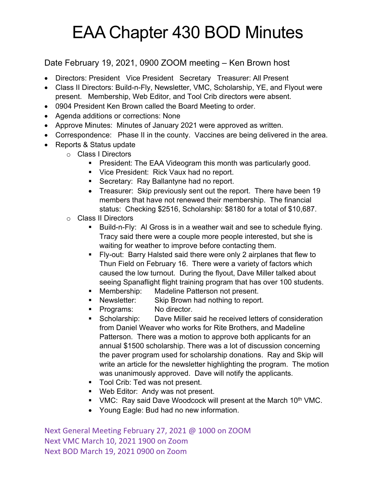## EAA Chapter 430 BOD Minutes

## Date February 19, 2021, 0900 ZOOM meeting – Ken Brown host

- Directors: President Vice President Secretary Treasurer: All Present
- Class II Directors: Build-n-Fly, Newsletter, VMC, Scholarship, YE, and Flyout were present. Membership, Web Editor, and Tool Crib directors were absent.
- 0904 President Ken Brown called the Board Meeting to order.
- Agenda additions or corrections: None
- Approve Minutes: Minutes of January 2021 were approved as written.
- Correspondence: Phase II in the county. Vaccines are being delivered in the area.
- Reports & Status update
	- o Class I Directors
		- President: The EAA Videogram this month was particularly good.
		- Vice President: Rick Vaux had no report.
		- Secretary: Ray Ballantyne had no report.
		- Treasurer: Skip previously sent out the report. There have been 19 members that have not renewed their membership. The financial status: Checking \$2516, Scholarship: \$8180 for a total of \$10,687.
	- o Class II Directors
		- § Build-n-Fly: Al Gross is in a weather wait and see to schedule flying. Tracy said there were a couple more people interested, but she is waiting for weather to improve before contacting them.
		- § Fly-out: Barry Halsted said there were only 2 airplanes that flew to Thun Field on February 16. There were a variety of factors which caused the low turnout. During the flyout, Dave Miller talked about seeing Spanaflight flight training program that has over 100 students.
		- Membership: Madeline Patterson not present.
		- Newsletter: Skip Brown had nothing to report.
		- Programs: No director.
		- Scholarship: Dave Miller said he received letters of consideration from Daniel Weaver who works for Rite Brothers, and Madeline Patterson. There was a motion to approve both applicants for an annual \$1500 scholarship. There was a lot of discussion concerning the paver program used for scholarship donations. Ray and Skip will write an article for the newsletter highlighting the program. The motion was unanimously approved. Dave will notify the applicants.
		- Tool Crib: Ted was not present.
		- Web Editor: Andy was not present.
		- VMC: Ray said Dave Woodcock will present at the March 10<sup>th</sup> VMC.
		- Young Eagle: Bud had no new information.

Next General Meeting February 27, 2021 @ 1000 on ZOOM Next VMC March 10, 2021 1900 on Zoom Next BOD March 19, 2021 0900 on Zoom